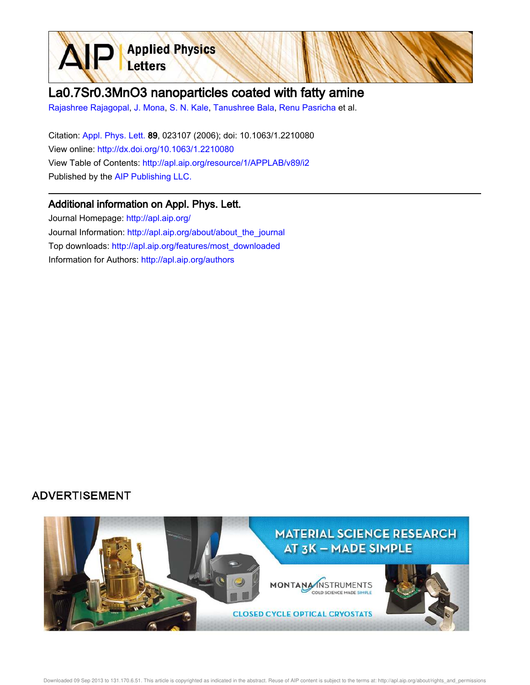

## La0.7Sr0.3MnO3 nanoparticles coated with fatty amine

Rajashree Rajagopal, J. Mona, S. N. Kale, Tanushree Bala, Renu Pasricha et al.

Citation: Appl. Phys. Lett. 89, 023107 (2006); doi: 10.1063/1.2210080 View online: http://dx.doi.org/10.1063/1.2210080 View Table of Contents: http://apl.aip.org/resource/1/APPLAB/v89/i2 Published by the AIP Publishing LLC.

## Additional information on Appl. Phys. Lett.

Journal Homepage: http://apl.aip.org/ Journal Information: http://apl.aip.org/about/about\_the\_journal Top downloads: http://apl.aip.org/features/most\_downloaded Information for Authors: http://apl.aip.org/authors

## **ADVERTISEMENT**

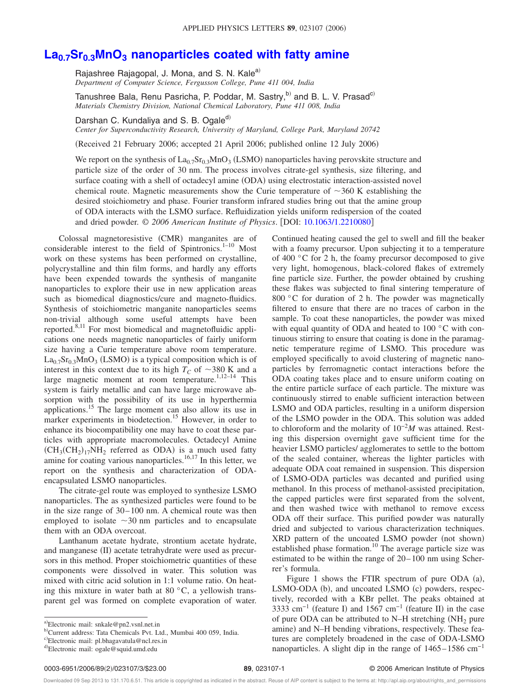## **La0.7Sr0.3MnO<sup>3</sup> nanoparticles coated with fatty amine**

Rajashree Rajagopal, J. Mona, and S. N. Kale<sup>a)</sup> *Department of Computer Science, Fergusson College, Pune 411 004, India*

Tanushree Bala, Renu Pasricha, P. Poddar, M. Sastry,<sup>b)</sup> and B. L. V. Prasad<sup>c)</sup> *Materials Chemistry Division, National Chemical Laboratory, Pune 411 008, India*

Darshan C. Kundaliya and S. B. Ogale<sup>d)</sup>

*Center for Superconductivity Research, University of Maryland, College Park, Maryland 20742*

(Received 21 February 2006; accepted 21 April 2006; published online 12 July 2006)

We report on the synthesis of  $La_{0.7}Sr_{0.3}MnO_3$  (LSMO) nanoparticles having perovskite structure and particle size of the order of 30 nm. The process involves citrate-gel synthesis, size filtering, and surface coating with a shell of octadecyl amine (ODA) using electrostatic interaction-assisted novel chemical route. Magnetic measurements show the Curie temperature of  $\sim$ 360 K establishing the desired stoichiometry and phase. Fourier transform infrared studies bring out that the amine group of ODA interacts with the LSMO surface. Refluidization yields uniform redispersion of the coated and dried powder.  $\odot$  2006 American Institute of Physics. [DOI: 10.1063/1.2210080]

Colossal magnetoresistive (CMR) manganites are of considerable interest to the field of Spintronics.<sup>1–10</sup> Most work on these systems has been performed on crystalline, polycrystalline and thin film forms, and hardly any efforts have been expended towards the synthesis of manganite nanoparticles to explore their use in new application areas such as biomedical diagnostics/cure and magneto-fluidics. Synthesis of stoichiometric manganite nanoparticles seems non-trivial although some useful attempts have been reported.8,11 For most biomedical and magnetofluidic applications one needs magnetic nanoparticles of fairly uniform size having a Curie temperature above room temperature.  $\text{La}_{0.7}\text{Sr}_{0.3}\text{MnO}_3$  (LSMO) is a typical composition which is of interest in this context due to its high  $T_C$  of  $\sim$ 380 K and a large magnetic moment at room temperature.<sup>1,12-14</sup> This system is fairly metallic and can have large microwave absorption with the possibility of its use in hyperthermia applications.<sup>15</sup> The large moment can also allow its use in marker experiments in biodetection.<sup>15</sup> However, in order to enhance its biocompatibility one may have to coat these particles with appropriate macromolecules. Octadecyl Amine  $(CH_3(CH_2)_{17}NH_2$  referred as ODA) is a much used fatty amine for coating various nanoparticles.<sup>16,17</sup> In this letter, we report on the synthesis and characterization of ODAencapsulated LSMO nanoparticles.

The citrate-gel route was employed to synthesize LSMO nanoparticles. The as synthesized particles were found to be in the size range of 30–100 nm. A chemical route was then employed to isolate  $\sim$ 30 nm particles and to encapsulate them with an ODA overcoat.

Lanthanum acetate hydrate, strontium acetate hydrate, and manganese (II) acetate tetrahydrate were used as precursors in this method. Proper stoichiometric quantities of these components were dissolved in water. This solution was mixed with citric acid solution in 1:1 volume ratio. On heating this mixture in water bath at 80  $\degree$ C, a yellowish transparent gel was formed on complete evaporation of water. Continued heating caused the gel to swell and fill the beaker with a foamy precursor. Upon subjecting it to a temperature of 400 °C for 2 h, the foamy precursor decomposed to give very light, homogenous, black-colored flakes of extremely fine particle size. Further, the powder obtained by crushing these flakes was subjected to final sintering temperature of 800 °C for duration of 2 h. The powder was magnetically filtered to ensure that there are no traces of carbon in the sample. To coat these nanoparticles, the powder was mixed with equal quantity of ODA and heated to 100 °C with continuous stirring to ensure that coating is done in the paramagnetic temperature regime of LSMO. This procedure was employed specifically to avoid clustering of magnetic nanoparticles by ferromagnetic contact interactions before the ODA coating takes place and to ensure uniform coating on the entire particle surface of each particle. The mixture was continuously stirred to enable sufficient interaction between LSMO and ODA particles, resulting in a uniform dispersion of the LSMO powder in the ODA. This solution was added to chloroform and the molarity of 10−2*M* was attained. Resting this dispersion overnight gave sufficient time for the heavier LSMO particles/ agglomerates to settle to the bottom of the sealed container, whereas the lighter particles with adequate ODA coat remained in suspension. This dispersion of LSMO-ODA particles was decanted and purified using methanol. In this process of methanol-assisted precipitation, the capped particles were first separated from the solvent, and then washed twice with methanol to remove excess ODA off their surface. This purified powder was naturally dried and subjected to various characterization techniques. XRD pattern of the uncoated LSMO powder (not shown) established phase formation.<sup>10</sup> The average particle size was estimated to be within the range of 20–100 nm using Scherrer's formula.

Figure 1 shows the FTIR spectrum of pure ODA  $(a)$ , LSMO-ODA (b), and uncoated LSMO (c) powders, respectively, recorded with a KBr pellet. The peaks obtained at 3333 cm<sup>-1</sup> (feature I) and 1567 cm<sup>-1</sup> (feature II) in the case of pure ODA can be attributed to N–H stretching  $(NH<sub>2</sub>)$  pure amine) and N-H bending vibrations, respectively. These features are completely broadened in the case of ODA-LSMO nanoparticles. A slight dip in the range of  $1465-1586$  cm<sup>-1</sup>

a)Electronic mail: snkale@pn2.vsnl.net.in

b-Current address: Tata Chemicals Pvt. Ltd., Mumbai 400 059, India.

c)Electronic mail: pl.bhagavatula@ncl.res.in

<sup>&</sup>lt;sup>d)</sup>Electronic mail: ogale@squid.umd.edu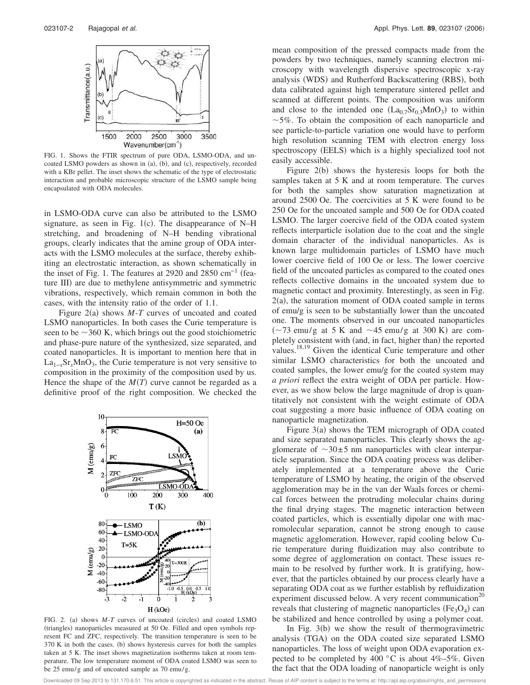

FIG. 1. Shows the FTIR spectrum of pure ODA, LSMO-ODA, and uncoated LSMO powders as shown in (a), (b), and (c), respectively, recorded with a KBr pellet. The inset shows the schematic of the type of electrostatic interaction and probable microscopic structure of the LSMO sample being encapsulated with ODA molecules.

in LSMO-ODA curve can also be attributed to the LSMO signature, as seen in Fig.  $1(c)$ . The disappearance of N–H stretching, and broadening of N–H bending vibrational groups, clearly indicates that the amine group of ODA interacts with the LSMO molecules at the surface, thereby exhibiting an electrostatic interaction, as shown schematically in the inset of Fig. 1. The features at 2920 and 2850  $cm^{-1}$  (feature III) are due to methylene antisymmetric and symmetric vibrations, respectively, which remain common in both the cases, with the intensity ratio of the order of 1.1.

Figure  $2(a)$  shows  $M-T$  curves of uncoated and coated LSMO nanoparticles. In both cases the Curie temperature is seen to be  $\sim$ 360 K, which brings out the good stoichiometric and phase-pure nature of the synthesized, size separated, and coated nanoparticles. It is important to mention here that in La<sub>1-*x*</sub>Sr<sub>*x*</sub>MnO<sub>3</sub>, the Curie temperature is not very sensitive to composition in the proximity of the composition used by us. Hence the shape of the  $M(T)$  curve cannot be regarded as a definitive proof of the right composition. We checked the



FIG. 2. (a) shows  $M-T$  curves of uncoated (circles) and coated LSMO (triangles) nanoparticles measured at 50 Oe. Filled and open symbols represent FC and ZFC, respectively. The transition temperature is seen to be 370 K in both the cases. (b) shows hysteresis curves for both the samples taken at 5 K. The inset shows magnetization isotherms taken at room temperature. The low temperature moment of ODA coated LSMO was seen to be 25 emu/g and of uncoated sample as 70 emu/g.

mean composition of the pressed compacts made from the powders by two techniques, namely scanning electron microscopy with wavelength dispersive spectroscopic x-ray analysis (WDS) and Rutherford Backscattering (RBS), both data calibrated against high temperature sintered pellet and scanned at different points. The composition was uniform and close to the intended one  $(La_{0.7}Sr_{0.3}MnO_3)$  to within  $\sim$ 5%. To obtain the composition of each nanoparticle and see particle-to-particle variation one would have to perform high resolution scanning TEM with electron energy loss spectroscopy (EELS) which is a highly specialized tool not easily accessible.

Figure  $2(b)$  shows the hysteresis loops for both the samples taken at 5 K and at room temperature. The curves for both the samples show saturation magnetization at around 2500 Oe. The coercivities at 5 K were found to be 250 Oe for the uncoated sample and 500 Oe for ODA coated LSMO. The larger coercive field of the ODA coated system reflects interparticle isolation due to the coat and the single domain character of the individual nanoparticles. As is known large multidomain particles of LSMO have much lower coercive field of 100 Oe or less. The lower coercive field of the uncoated particles as compared to the coated ones reflects collective domains in the uncoated system due to magnetic contact and proximity. Interestingly, as seen in Fig. 2(a), the saturation moment of ODA coated sample in terms of emu/g is seen to be substantially lower than the uncoated one. The moments observed in our uncoated nanoparticles  $(\sim 73 \text{ emu/g at } 5 \text{ K and } \sim 45 \text{ emu/g at } 300 \text{ K})$  are completely consistent with (and, in fact, higher than) the reported values.<sup>18,19</sup> Given the identical Curie temperature and other similar LSMO characteristics for both the uncoated and coated samples, the lower emu/g for the coated system may *a priori* reflect the extra weight of ODA per particle. However, as we show below the large magnitude of drop is quantitatively not consistent with the weight estimate of ODA coat suggesting a more basic influence of ODA coating on nanoparticle magnetization.

Figure 3(a) shows the TEM micrograph of ODA coated and size separated nanoparticles. This clearly shows the agglomerate of  $\sim 30 \pm 5$  nm nanoparticles with clear interparticle separation. Since the ODA coating process was deliberately implemented at a temperature above the Curie temperature of LSMO by heating, the origin of the observed agglomeration may be in the van der Waals forces or chemical forces between the protruding molecular chains during the final drying stages. The magnetic interaction between coated particles, which is essentially dipolar one with macromolecular separation, cannot be strong enough to cause magnetic agglomeration. However, rapid cooling below Curie temperature during fluidization may also contribute to some degree of agglomeration on contact. These issues remain to be resolved by further work. It is gratifying, however, that the particles obtained by our process clearly have a separating ODA coat as we further establish by refluidization experiment discussed below. A very recent communication<sup>20</sup> reveals that clustering of magnetic nanoparticles  $(Fe<sub>3</sub>O<sub>4</sub>)$  can be stabilized and hence controlled by using a polymer coat.

In Fig.  $3(b)$  we show the result of thermogravimetric analysis (TGA) on the ODA coated size separated LSMO nanoparticles. The loss of weight upon ODA evaporation expected to be completed by 400  $^{\circ}$ C is about 4%–5%. Given the fact that the ODA loading of nanoparticle weight is only

Downloaded 09 Sep 2013 to 131.170.6.51. This article is copyrighted as indicated in the abstract. Reuse of AIP content is subject to the terms at: http://apl.aip.org/about/rights\_and\_permissions